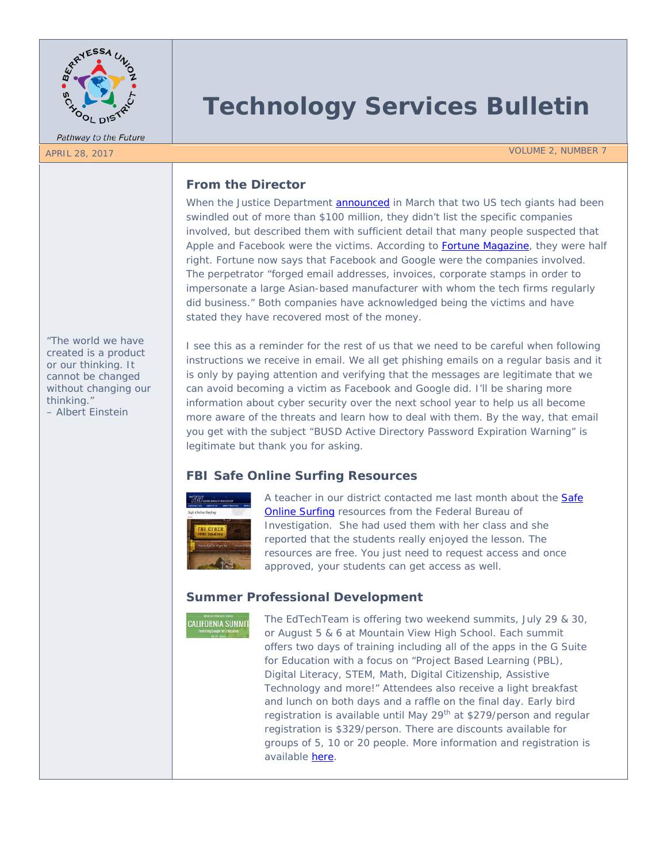

Pathway to the Future

# **Technology Services Bulletin**

APRIL 28, 2017 VOLUME 2, NUMBER 7

## **From the Director**

When the Justice Department **announced** in March that two US tech giants had been swindled out of more than \$100 million, they didn't list the specific companies involved, but described them with sufficient detail that many people suspected that Apple and Facebook were the victims. According to **Fortune Magazine**, they were half right. Fortune now says that Facebook and Google were the companies involved. The perpetrator "forged email addresses, invoices, corporate stamps in order to impersonate a large Asian-based manufacturer with whom the tech firms regularly did business." Both companies have acknowledged being the victims and have stated they have recovered most of the money.

*"The world we have created is a product or our thinking. It cannot be changed without changing our thinking." – Albert Einstein*

I see this as a reminder for the rest of us that we need to be careful when following instructions we receive in email. We all get phishing emails on a regular basis and it is only by paying attention and verifying that the messages are legitimate that we can avoid becoming a victim as Facebook and Google did. I'll be sharing more information about cyber security over the next school year to help us all become more aware of the threats and learn how to deal with them. By the way, that email you get with the subject "BUSD Active Directory Password Expiration Warning" is legitimate but thank you for asking.

# **FBI Safe Online Surfing Resources**



A teacher in our district contacted me last month about the **Safe** [Online Surfing](https://sos.fbi.gov/) resources from the Federal Bureau of Investigation. She had used them with her class and she reported that the students really enjoyed the lesson. The resources are free. You just need to request access and once approved, your students can get access as well.

# **Summer Professional Development**

**CALIFORNIA SUMMIT** 

The EdTechTeam is offering two weekend summits, July 29 & 30, or August 5 & 6 at Mountain View High School. Each summit offers two days of training including all of the apps in the G Suite for Education with a focus on "Project Based Learning (PBL), Digital Literacy, STEM, Math, Digital Citizenship, Assistive Technology and more!" Attendees also receive a light breakfast and lunch on both days and a raffle on the final day. Early bird registration is available until May 29<sup>th</sup> at \$279/person and regular registration is \$329/person. There are discounts available for groups of 5, 10 or 20 people. More information and registration is available [here.](https://ca.gafesummit.com/2017)